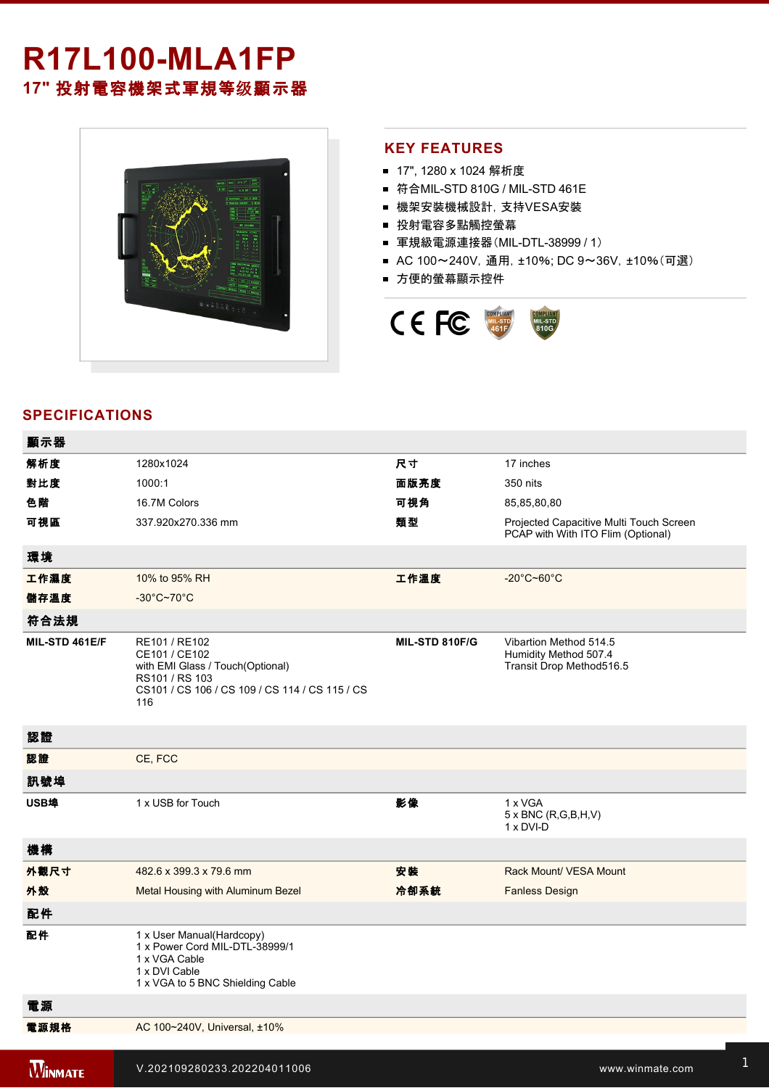# **R17L100-MLA1FP 17"** 投射電容機架式軍規等级顯示器



## **KEY FEATURES**

- 17", 1280 x 1024 解析度
- 符合MIL-STD 810G / MIL-STD 461E
- 機架安裝機械設計, 支持VESA安裝
- 投射電容多點觸控螢幕
- 軍規級電源連接器(MIL-DTL-38999 / 1)
- AC 100~240V, 通用, ±10%; DC 9~36V, ±10%(可選)
- 方便的螢幕顯示控件



## **SPECIFICATIONS**

**2 key: 2 key: 2 key: 2 key: 2 key: 2 key: 2 key: 2 key: 2 key: 2 key: 2 key: 2 key: 2 key:** 

| 顯示器            |                                                                                                                                               |                |                                                                               |
|----------------|-----------------------------------------------------------------------------------------------------------------------------------------------|----------------|-------------------------------------------------------------------------------|
| 解析度            | 1280x1024                                                                                                                                     | 尺寸             | 17 inches                                                                     |
| 對比度            | 1000:1                                                                                                                                        | 面版亮度           | 350 nits                                                                      |
| 色階             | 16.7M Colors                                                                                                                                  | 可視角            | 85,85,80,80                                                                   |
| 可視區            | 337.920x270.336 mm                                                                                                                            | 類型             | Projected Capacitive Multi Touch Screen<br>PCAP with With ITO Flim (Optional) |
| 環境             |                                                                                                                                               |                |                                                                               |
| 工作濕度           | 10% to 95% RH                                                                                                                                 | 工作溫度           | $-20^{\circ}$ C~60 $^{\circ}$ C                                               |
| 儲存溫度           | $-30^{\circ}$ C~70 $^{\circ}$ C                                                                                                               |                |                                                                               |
| 符合法規           |                                                                                                                                               |                |                                                                               |
| MIL-STD 461E/F | RE101 / RE102<br>CE101 / CE102<br>with EMI Glass / Touch(Optional)<br>RS101 / RS 103<br>CS101 / CS 106 / CS 109 / CS 114 / CS 115 / CS<br>116 | MIL-STD 810F/G | Vibartion Method 514.5<br>Humidity Method 507.4<br>Transit Drop Method516.5   |
| 認證             |                                                                                                                                               |                |                                                                               |
| 認證             | CE, FCC                                                                                                                                       |                |                                                                               |
| 訊號埠            |                                                                                                                                               |                |                                                                               |
| USB埠           | 1 x USB for Touch                                                                                                                             | 影像             | 1 x VGA<br>$5 \times BNC$ (R,G,B,H,V)<br>1 x DVI-D                            |
| 機構             |                                                                                                                                               |                |                                                                               |
| 外觀尺寸           | 482.6 x 399.3 x 79.6 mm                                                                                                                       | 安装             | Rack Mount/ VESA Mount                                                        |
| 外殼             | Metal Housing with Aluminum Bezel                                                                                                             | 冷卻系統           | <b>Fanless Design</b>                                                         |
| 配件             |                                                                                                                                               |                |                                                                               |
| 配件             | 1 x User Manual(Hardcopy)<br>1 x Power Cord MIL-DTL-38999/1<br>1 x VGA Cable<br>1 x DVI Cable<br>1 x VGA to 5 BNC Shielding Cable             |                |                                                                               |
| 電源             |                                                                                                                                               |                |                                                                               |
| 電源規格           | AC 100~240V, Universal, ±10%                                                                                                                  |                |                                                                               |
| <b>WINMATE</b> | V.202109280233.202204011006                                                                                                                   |                | www.winmate.com                                                               |